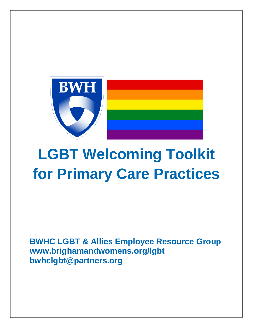

# **LGBT Welcoming Toolkit for Primary Care Practices**

**BWHC LGBT & Allies Employee Resource Group www.brighamandwomens.org/lgbt bwhclgbt@partners.org**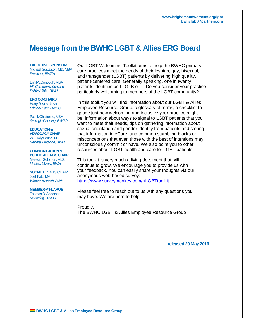# **Message from the BWHC LGBT & Allies ERG Board**

#### **EXECUTIVE SPONSORS**

Michael Gustafson, MD, MBA *President, BWFH*

Erin McDonough, MBA *VP Communication and Public Affairs, BWH*

#### **ERG CO-CHAIRS**

Harry Reyes Nieva *Primary Care, BWHC*

Pothik Chatterjee, MBA *Strategic Planning, BWPO*

#### **EDUCATION &**

**ADVOCACY CHAIR** W. Emily Leung, MS *General Medicine, BWH*

#### **COMMUNICATION & PUBLIC AFFAIRS CHAIR** Meredith Solomon, MLS

*Medical Library, BWH* **SOCIAL EVENTS CHAIR** Joeli Katz, MA

*Women's Health, BWH*

**MEMBER-AT-LARGE** Thomas B. Anderson *Marketing, BWPO*

Our LGBT Welcoming Toolkit aims to help the BWHC primary care practices meet the needs of their lesbian, gay, bisexual, and transgender (LGBT) patients by delivering high quality, patient-centered care. Generally speaking, one in twenty patients identifies as L, G, B or T. Do you consider your practice particularly welcoming to members of the LGBT community?

In this toolkit you will find information about our LGBT & Allies Employee Resource Group, a glossary of terms, a checklist to gauge just how welcoming and inclusive your practice might be, information about ways to signal to LGBT patients that you want to meet their needs, tips on gathering information about sexual orientation and gender identity from patients and storing that information in eCare, and common stumbling blocks or misconceptions that even those with the best of intentions may unconsciously commit or have. We also point you to other resources about LGBT health and care for LGBT patients.

This toolkit is very much a living document that will continue to grow. We encourage you to provide us with your feedback. You can easily share your thoughts via our anonymous web-based survey: [https://www.surveymonkey.com/r/LGBTtoolkit.](https://www.surveymonkey.com/r/LGBTtoolkit)

Please feel free to reach out to us with any questions you may have. We are here to help.

Proudly, The BWHC LGBT & Allies Employee Resource Group

**released 20 May 2016**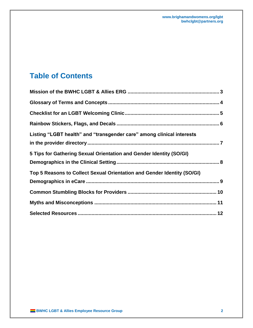# **Table of Contents**

| Listing "LGBT health" and "transgender care" among clinical interests   |  |
|-------------------------------------------------------------------------|--|
| 5 Tips for Gathering Sexual Orientation and Gender Identity (SO/GI)     |  |
| Top 5 Reasons to Collect Sexual Orientation and Gender Identity (SO/GI) |  |
|                                                                         |  |
|                                                                         |  |
|                                                                         |  |
|                                                                         |  |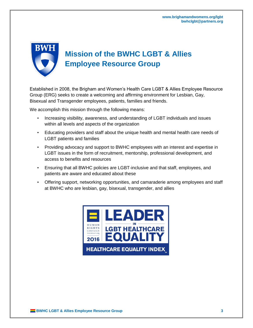# <span id="page-3-0"></span> **Mission of the BWHC LGBT & Allies Employee Resource Group**

Established in 2008, the Brigham and Women's Health Care LGBT & Allies Employee Resource Group (ERG) seeks to create a welcoming and affirming environment for Lesbian, Gay, Bisexual and Transgender employees, patients, families and friends.

We accomplish this mission through the following means:

- Increasing visibility, awareness, and understanding of LGBT individuals and issues within all levels and aspects of the organization
- Educating providers and staff about the unique health and mental health care needs of LGBT patients and families
- Providing advocacy and support to BWHC employees with an interest and expertise in LGBT issues in the form of recruitment, mentorship, professional development, and access to benefits and resources
- Ensuring that all BWHC policies are LGBT-inclusive and that staff, employees, and patients are aware and educated about these
- Offering support, networking opportunities, and camaraderie among employees and staff at BWHC who are lesbian, gay, bisexual, transgender, and allies

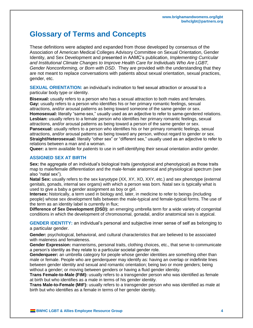# <span id="page-4-0"></span>**Glossary of Terms and Concepts**

These definitions were adapted and expanded from those developed by consensus of the Association of American Medical Colleges Advisory Committee on Sexual Orientation, Gender Identity, and Sex Development and presented in AAMC's publication, *Implementing Curricular and Institutional Climate Changes to Improve Health Care for Individuals Who Are LGBT, Gender Nonconforming, or Born with DSD*. They are provided with the understanding that they are not meant to replace conversations with patients about sexual orientation, sexual practices, gender, etc.

**SEXUAL ORIENTATION:** an individual's inclination to feel sexual attraction or arousal to a particular body type or identity.

**Bisexual:** usually refers to a person who has a sexual attraction to both males and females. Gav: usually refers to a person who identifies his or her primary romantic feelings, sexual attractions, and/or arousal patterns as being toward someone of the same gender or sex. **Homosexual:** literally "same-sex," usually used as an adjective to refer to same-gendered relations. **Lesbian:** usually refers to a female person who identifies her primary romantic feelings, sexual attractions, and/or arousal patterns as being toward a person of the same gender or sex. **Pansexual:** usually refers to a person who identifies his or her primary romantic feelings, sexual attractions, and/or arousal patterns as being toward any person, without regard to gender or sex. **Straight/Heterosexual:** literally "other sex" or "different sex," usually used as an adjective to refer to relations between a man and a woman.

**Queer:** a term available for *patients* to use in self-identifying their sexual orientation and/or gender.

## **ASSIGNED SEX AT BIRTH**

**Sex:** the aggregate of an individual's biological traits (genotypical and phenotypical) as those traits map to male/female differentiation and the male-female anatomical and physiological spectrum (see also "natal sex").

**Natal Sex:** usually refers to the sex karyotype (XX, XY, XO, XXY, etc.) and sex phenotype (external genitals, gonads, internal sex organs) with which a person was born. Natal sex is typically what is used to give a baby a gender assignment as boy or girl.

**Intersex:** historically, a term used in biology and, later, in medicine to refer to beings (including people) whose sex development falls between the male-typical and female-typical forms. The use of the term as an identity label is currently in flux;

**Difference of Sex Development (DSD):** an emerging umbrella term for a wide variety of congenital conditions in which the development of chromosomal, gonadal, and/or anatomical sex is atypical.

**GENDER IDENTITY:** an individual's personal and subjective inner sense of self as belonging to a particular gender.

**Gender:** psychological, behavioral, and cultural characteristics that are believed to be associated with maleness and femaleness.

**Gender Expression:** mannerisms, personal traits, clothing choices, etc., that serve to communicate a person's identity as they relate to a particular societal gender role.

**Genderqueer:** an umbrella category for people whose gender identities are something other than male or female. People who are genderqueer may identify as: having an overlap or indefinite lines between gender identity and sexual and romantic orientation; being two or more genders; being without a gender; or moving between genders or having a fluid gender identity.

**Trans Female-to-Male (FtM):** usually refers to a transgender person who was identified as female at birth but who identifies as a male in terms of his gender identity.

**Trans Male-to-Female (MtF):** usually refers to a transgender person who was identified as male at birth but who identifies as a female in terms of her gender identity.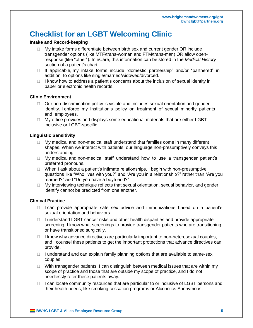# <span id="page-5-0"></span>**Checklist for an LGBT Welcoming Clinic**

# **Intake and Record-keeping**

- $\Box$  My intake forms differentiate between birth sex and current gender OR include transgender options (like MTF/trans-woman and FTM/trans-man) OR allow openresponse (like "other"). In eCare, this information can be stored in the *Medical History* section of a patient's chart.
- □ If applicable, my intake forms include "domestic partnership" and/or "partnered" in addition to options like single/married/widowed/divorced.
- $\Box$  I know how to address a patient's concerns about the inclusion of sexual identity in paper or electronic health records.

## **Clinic Environment**

- $\Box$  Our non-discrimination policy is visible and includes sexual orientation and gender identity. I enforce my institution's policy on treatment of sexual minority patients and employees.
- $\Box$  My office provides and displays some educational materials that are either LGBTinclusive or LGBT-specific.

## **Linguistic Sensitivity**

- $\Box$  My medical and non-medical staff understand that families come in many different shapes. When we interact with patients, our language non-presumptively conveys this understanding.
- $\Box$  My medical and non-medical staff understand how to use a transgender patient's preferred pronouns.
- $\Box$  When I ask about a patient's intimate relationships, I begin with non-presumptive questions like "Who lives with you?" and "Are you in a relationship?" rather than "Are you married?" and "Do you have a boyfriend?"
- $\Box$  My interviewing technique reflects that sexual orientation, sexual behavior, and gender identify cannot be predicted from one another.

# **Clinical Practice**

- $\Box$  I can provide appropriate safe sex advice and immunizations based on a patient's sexual orientation and behaviors.
- $\Box$  I understand LGBT cancer risks and other health disparities and provide appropriate screening. I know what screenings to provide transgender patients who are transitioning or have transitioned surgically.
- $\Box$  I know why advance directives are particularly important to non-heterosexual couples, and I counsel these patients to get the important protections that advance directives can provide.
- $\Box$  I understand and can explain family planning options that are available to same-sex couples.
- $\Box$  With transgender patients, I can distinguish between medical issues that are within my scope of practice and those that are outside my scope of practice, and I do not needlessly refer these patients away.
- $\Box$  I can locate community resources that are particular to or inclusive of LGBT persons and their health needs, like smoking cessation programs or Alcoholics Anonymous.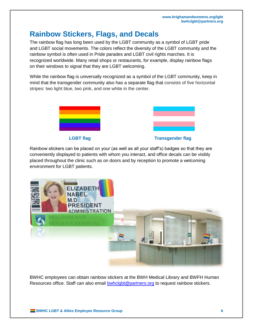# <span id="page-6-0"></span>**Rainbow Stickers, Flags, and Decals**

The rainbow flag has long been used by the LGBT community as a symbol of LGBT pride and LGBT social movements. The colors reflect the diversity of the LGBT community and the rainbow symbol is often used in Pride parades and LGBT civil rights marches. It is recognized worldwide. Many retail shops or restaurants, for example, display rainbow flags on their windows to signal that they are LGBT welcoming.

While the rainbow flag is universally recognized as a symbol of the LGBT community, keep in mind that the transgender community also has a separate flag that consists of five horizontal stripes: two light blue, two pink, and one white in the center.



Rainbow stickers can be placed on your (as well as all your staff's) badges so that they are conveniently displayed to patients with whom you interact, and office decals can be visibly placed throughout the clinic such as on doors and by reception to promote a welcoming environment for LGBT patients.



BWHC employees can obtain rainbow stickers at the BWH Medical Library and BWFH Human Resources office. Staff can also email [bwhclgbt@partners.org](mailto:bwhclgbt@partners.org) to request rainbow stickers.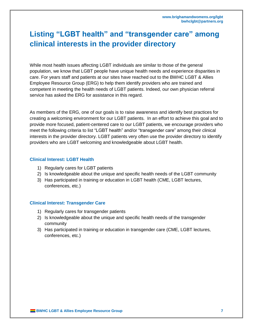# <span id="page-7-0"></span>**Listing "LGBT health" and "transgender care" among clinical interests in the provider directory**

While most health issues affecting LGBT individuals are similar to those of the general population, we know that LGBT people have unique health needs and experience disparities in care. For years staff and patients at our sites have reached out to the BWHC LGBT & Allies Employee Resource Group (ERG) to help them identify providers who are trained and competent in meeting the health needs of LGBT patients. Indeed, our own physician referral service has asked the ERG for assistance in this regard.

As members of the ERG, one of our goals is to raise awareness and identify best practices for creating a welcoming environment for our LGBT patients. In an effort to achieve this goal and to provide more focused, patient-centered care to our LGBT patients, we encourage providers who meet the following criteria to list "LGBT health" and/or "transgender care" among their clinical interests in the provider directory. LGBT patients very often use the provider directory to identify providers who are LGBT welcoming and knowledgeable about LGBT health.

## **Clinical Interest: LGBT Health**

- 1) Regularly cares for LGBT patients
- 2) Is knowledgeable about the unique and specific health needs of the LGBT community
- 3) Has participated in training or education in LGBT health (CME, LGBT lectures, conferences, etc.)

# **Clinical Interest: Transgender Care**

- 1) Regularly cares for transgender patients
- 2) Is knowledgeable about the unique and specific health needs of the transgender community
- 3) Has participated in training or education in transgender care (CME, LGBT lectures, conferences, etc.)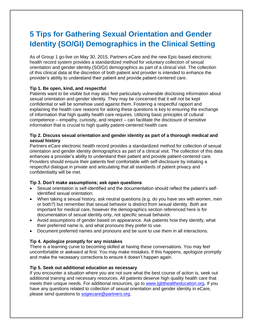# <span id="page-8-0"></span>**5 Tips for Gathering Sexual Orientation and Gender Identity (SO/GI) Demographics in the Clinical Setting**

As of Group 1 go-live on May 30, 2015, Partners eCare and the new Epic-based electronic health record system provides a standardized method for voluntary collection of sexual orientation and gender identity (SO/GI) demographics as part of a clinical visit. The collection of this clinical data at the discretion of both patient and provider is intended to enhance the provider's ability to understand their patient and provide patient-centered care.

# **Tip 1. Be open, kind, and respectful**

Patients want to be visible but may also feel particularly vulnerable disclosing information about sexual orientation and gender identity. They may be concerned that it will not be kept confidential or will be somehow used against them. Fostering a respectful rapport and explaining the health care reasons for asking these questions is key to ensuring the exchange of information that high quality health care requires. Utilizing basic principles of cultural competence – empathy, curiosity, and respect – can facilitate the disclosure of sensitive information that is crucial to high quality patient-centered health care.

# **Tip 2. Discuss sexual orientation and gender identity as part of a thorough medical and sexual history**

Partners eCare electronic health record provides a standardized method for collection of sexual orientation and gender identity demographics as part of a clinical visit. The collection of this data enhances a provider's ability to understand their patient and provide patient-centered care. Providers should ensure their patients feel comfortable with self-disclosure by initiating a respectful dialogue in private and articulating that all standards of patient privacy and confidentiality will be met.

# **Tip 3. Don't make assumptions; ask open questions**

- Sexual orientation is self-identified and the documentation should reflect the patient's selfidentified sexual orientation.
- When taking a sexual history, ask neutral questions (e.g. do you have sex with women, men or both?) but remember that sexual behavior is distinct from sexual identity. Both are important for medical care, however the demographics section referenced here is for documentation of sexual identity only, not specific sexual behavior.
- Avoid assumptions of gender based on appearance. Ask patients how they identify, what their preferred name is, and what pronouns they prefer to use.
- Document preferred names and pronouns and be sure to use them in all interactions.

# **Tip 4. Apologize promptly for any mistakes**

There is a learning curve to becoming skilled at having these conversations. You may feel uncomfortable or awkward at first. You may make mistakes. If this happens, apologize promptly and make the necessary corrections to ensure it doesn't happen again.

# **Tip 5. Seek out additional education as necessary**

If you encounter a situation where you are not sure what the best course of action is, seek out additional training and necessary resources. All patients deserve high quality health care that meets their unique needs. For additional resources, go to [www.lgbthealtheducation.org.](http://www.lgbthealtheducation.org/) If you have any questions related to collection of sexual orientation and gender identity in eCare, please send questions to [sogiecare@partners.org.](mailto:sogiecare@partners.org)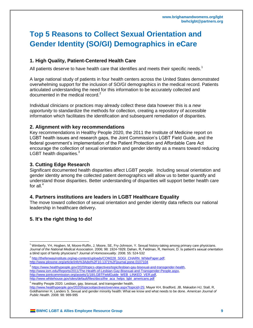# <span id="page-9-0"></span>**Top 5 Reasons to Collect Sexual Orientation and Gender Identity (SO/GI) Demographics in eCare**

# **1. High Quality, Patient-Centered Health Care**

All patients deserve to have health care that identifies and meets their specific needs.<sup>1</sup>

A large national study of patients in four health centers across the United States demonstrated overwhelming support for the inclusion of SO/GI demographics in the medical record. Patients articulated understanding the need for this information to be accurately collected and documented in the medical record.<sup>2</sup>

Individual clinicians or practices may already collect these data however this is a *new opportunity* to standardize the methods for collection, creating a repository of accessible information which facilitates the identification and subsequent remediation of disparities.

#### **2. Alignment with key recommendations**

Key recommendations in Healthy People 2020, the 2011 the Institute of Medicine report on LGBT health issues and research gaps, the Joint Commission's LGBT Field Guide, and the federal government's implementation of the Patient Protection and Affordable Care Act encourage the collection of sexual orientation and gender identity as a means toward reducing LGBT health disparities. $3$ 

#### **3. Cutting Edge Research**

Significant documented health disparities affect LGBT people. Including sexual orientation and gender identity among the collected patient demographics will allow us to better quantify and understand those disparities. Better understanding of disparities will support better health care for all. $<sup>4</sup>$ </sup>

#### **4. Partners institutions are leaders in LGBT Healthcare Equality**

The move toward collection of sexual orientation and gender identity data reflects our national leadership in healthcare delivery**.**

# **5. It's the right thing to do!**

<sup>4</sup> Healthy People 2020. Lesbian, gay, bisexual, and transgender health.

[http://www.healthypeople.gov/2020/topicsobjectives/overview.aspx?topicid=25;](http://www.healthypeople.gov/2020/topicsobjectives/overview.aspx?topicid=25) Mayer KH, Bradford, JB, Makadon HJ, Stall, R, Goldhammer H, Landers S. Sexual and gender minority health: What we know and what needs to be done. *American Journal of Public Health*. 2008: 98: 989-995

 $\overline{\phantom{a}}$ <sup>1</sup> Wimberly, YH, Hogben, M, Moore-Ruffin, J, Moore, SE, Fry-Johnson, Y. Sexual history-taking among primary care physicians. *Journal of the National Medical Association*. 2006; 98: 1924-1929; Dahan, R, Feldman, R, Hermoni, D. Is patient's sexual orientation a blind spot of family physicians? *Journal of Homosexuality*. 2008. 55: 524-532

<sup>&</sup>lt;sup>2</sup> [http://thefenwayinstitute.org/wp-content/uploads/COM228\\_SOGI\\_CHARN\\_WhitePaper.pdf;](http://thefenwayinstitute.org/wp-content/uploads/COM228_SOGI_CHARN_WhitePaper.pdf) <http://www.plosone.org/article/info%3Adoi%2F10.1371%2Fjournal.pone.0107104>

<sup>3</sup> [https://www.healthypeople.gov/2020/topics-objectives/topic/lesbian-gay-bisexual-and-transgender-health,](https://www.healthypeople.gov/2020/topics-objectives/topic/lesbian-gay-bisexual-and-transgender-health) [http://www.iom.edu/Reports/2011/The-Health-of-Lesbian-Gay-Bisexual-and-Transgender-People.aspx,](http://www.iom.edu/Reports/2011/The-Health-of-Lesbian-Gay-Bisexual-and-Transgender-People.aspx) [http://www.jointcommission.org/assets/1/18/LGBTFieldGuide\\_WEB\\_LINKED\\_VER.pdf,](http://www.jointcommission.org/assets/1/18/LGBTFieldGuide_WEB_LINKED_VER.pdf)  [http://www.whitehouse.gov/sites/default/files/docs/the\\_aca\\_helps\\_lgbt\\_americans.pdf](http://www.whitehouse.gov/sites/default/files/docs/the_aca_helps_lgbt_americans.pdf)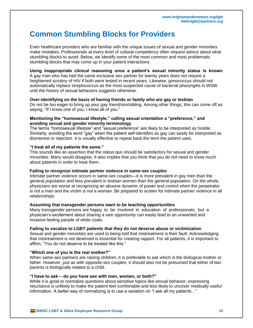# <span id="page-10-0"></span>**Common Stumbling Blocks for Providers**

Even healthcare providers who are familiar with the unique issues of sexual and gender minorities make mistakes. Professionals at every level of cultural competency often request advice about what stumbling blocks to avoid. Below, we identify some of the most common and most problematic stumbling blocks that may come up in your patient interactions.

#### **Using inappropriate clinical reasoning once a patient's sexual minority status is known** A gay man who has had the same exclusive sex partner for twenty years does not require a heightened scrutiny of HIV if both were tested in recent years. Likewise, gonococcus should not automatically replace streptococcus as the most suspected cause of bacterial pharyngitis in WSW until the history of sexual behaviors suggests otherwise.

#### **Over-identifying on the basis of having friends or family who are gay or lesbian**

Do not be too eager to bring up your gay friend/son/sibling. Among other things, this can come off as saying, "If I know one of you, I know all of you."

#### **Mentioning the "homosexual lifestyle," calling sexual orientation a "preference," and avoiding sexual and gender minority terminology**

The terms "homosexual lifestyle" and "sexual preference" are likely to be interpreted as hostile. Similarly, avoiding the word "gay" when the patient self-identifies as gay can easily be interpreted as disinterest or rejection. It is usually effective to repeat back the term the patient uses.

#### **"I treat all of my patients the same."**

This sounds like an assertion that the status quo should be satisfactory for sexual and gender minorities. Many would disagree. It also implies that you think that you do not need to know much about patients in order to treat them.

#### **Failing to recognize intimate partner violence in same-sex couples**

Intimate partner violence occurs in same-sex couples—it is more prevalent in gay men than the general population and less prevalent in lesbian women than the general population. On the whole, physicians are worse at recognizing an abusive dynamic of power and control when the perpetrator is not a man and the victim is not a woman. Be prepared to screen for intimate partner violence in all relationships.

#### **Assuming that transgender persons want to be teaching opportunities**

Many transgender persons are happy to be involved in education of professionals, but a physician's excitement about sharing a rare opportunity can easily lead to an unwanted and invasive-feeling parade of white coats.

#### **Failing to vocalize to LGBT patients that they do not deserve abuse or victimization**

Sexual and gender minorities are used to being told that mistreatment is their fault. Acknowledging that mistreatment is not deserved is essential for creating rapport. For all patients, it is important to affirm, "You do not deserve to be treated like this."

#### **"Which one of you is the** *real* **mother?"**

When same-sex partners are raising children, it is preferable to ask which is the biological mother or father. However, just as with opposite-sex couples, it should also not be presumed that either of two parents is biologically related to a child.

#### **"I have to ask -- do you have sex with men, women, or both?"**

While it is good to normalize questions about sensitive topics like sexual behavior, expressing reluctance is unlikely to make the patient feel comfortable and less likely to uncover medically useful information. A better way of normalizing is to use a variation on "I ask all my patients…"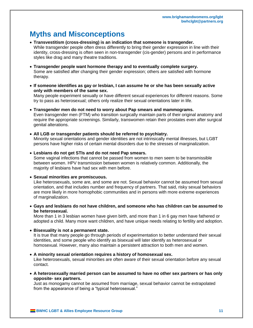# <span id="page-11-0"></span>**Myths and Misconceptions**

- **Transvestitism (cross-dressing) is an indication that someone is transgender.**  While transgender people often dress differently to bring their gender expression in line with their identity, cross-dressing is often seen in non-transgender (cis-gender) persons and in performance styles like drag and many theatre traditions.
- **Transgender people want hormone therapy and to eventually complete surgery.** Some are satisfied after changing their gender expression; others are satisfied with hormone therapy.
- **If someone identifies as gay or lesbian, I can assume he or she has been sexually active only with members of the same sex.**

Many people experiment sexually or have different sexual experiences for different reasons. Some try to pass as heterosexual; others only realize their sexual orientations later in life.

 **Transgender men do not need to worry about Pap smears and mammograms.** Even transgender men (FTM) who transition surgically maintain parts of their original anatomy and require the appropriate screenings. Similarly, transwomen retain their prostates even after surgical genital alterations.

 **All LGB or transgender patients should be referred to psychiatry.** Minority sexual orientations and gender identities are not intrinsically mental illnesses, but LGBT persons have higher risks of certain mental disorders due to the stresses of marginalization.

 **Lesbians do not get STIs and do not need Pap smears.** Some vaginal infections that cannot be passed from women to men seem to be transmissible between women. HPV transmission between women is relatively common. Additionally, the majority of lesbians have had sex with men before.

#### **Sexual minorities are promiscuous.**

Like heterosexuals, some are, and some are not. Sexual behavior cannot be assumed from sexual orientation, and that includes number and frequency of partners. That said, risky sexual behaviors are more likely in more homophobic communities and in persons with more extreme experiences of marginalization.

 **Gays and lesbians do not have children, and someone who has children can be assumed to be heterosexual.**

More than 1 in 3 lesbian women have given birth, and more than 1 in 6 gay men have fathered or adopted a child. Many more want children, and have unique needs relating to fertility and adoption.

#### **Bisexuality is not a permanent state.**

It is true that many people go through periods of experimentation to better understand their sexual identities, and some people who identify as bisexual will later identify as heterosexual or homosexual. However, many also maintain a persistent attraction to both men and women.

#### **A minority sexual orientation requires a history of homosexual sex.**

Like heterosexuals, sexual minorities are often aware of their sexual orientation before any sexual contact.

 **A heterosexually married person can be assumed to have no other sex partners or has only opposite- sex partners.**

Just as monogamy cannot be assumed from marriage, sexual behavior cannot be extrapolated from the appearance of being a "typical heterosexual."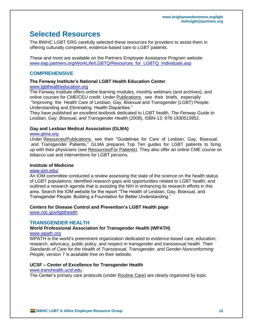# <span id="page-12-0"></span>**Selected Resources**

The BWHC LGBT ERG carefully selected these resources for providers to assist them in offering culturally competent, evidence-based care to LGBT patients.

These and more are available on the Partners Employee Assistance Program website: [www.eap.partners.org/WorkLife/LGBTQ/Resources\\_for\\_LGBTQ\\_Individuals.asp](http://www.eap.partners.org/WorkLife/LGBTQ/Resources_for_LGBTQ_Individuals.asp)

# **COMPREHENSIVE**

# **The Fenway Institute's National LGBT Health Education Center**

# [www.lgbthealtheducation.org](http://www.lgbthealtheducation.org/)

The Fenway Institute offers online learning modules, monthly webinars (and archives), and online courses for CME/CEU credit. Under Publications, see their briefs, especially "Improving the Health Care of Lesbian, Gay, Bisexual and Transgender (LGBT) People: Understanding and Eliminating Health Disparities."

They have published an excellent textbook dedicated to LGBT health, *The Fenway Guide to Lesbian, Gay, Bisexual, and Transgender Health* (2008), ISBN-13: 978-1930513952.

# **Gay and Lesbian Medical Association (GLMA)**

#### [www.glma.org](http://www.glma.org/)

Under Resources/Publications, see their "Guidelines for Care of Lesbian, Gay, Bisexual, and Transgender Patients." GLMA prepares Top Ten guides for LGBT patients to bring up with their physicians (see Resources/For Patients). They also offer an online CME course on tobacco use and interventions for LGBT persons.

#### **Institute of Medicine**

#### [www.iom.edu/](http://www.iom.edu/)

An IOM committee conducted a review assessing the state of the science on the health status of LGBT populations; identified research gaps and opportunities related to LGBT health; and outlined a research agenda that is assisting the NIH in enhancing its research efforts in this area. Search the IOM website for the report "The Health of Lesbian, Gay, Bisexual, and Transgender People: Building a Foundation for Better Understanding."

# **Centers for Disease Control and Prevention's LGBT Health page**

[www.cdc.gov/lgbthealth](http://www.cdc.gov/lgbthealth)

# **TRANSGENDER HEALTH**

# **World Professional Association for Transgender Health (WPATH)**

#### [www.wpath.org](http://www.wpath.org/)

WPATH is the world's preeminent organization dedicated to evidence-based care, education, research, advocacy, public policy, and respect in transgender and transsexual health. Their *Standards of Care for the Health of Transsexual, Transgender, and Gender-Nonconforming People*, version 7 is available free on their website.

# **UCSF – Center of Excellence for Transgender Health**

#### [www.transhealth.ucsf.edu](http://www.transhealth.ucsf.edu/)

The Center's primary care protocols (under Routine Care) are clearly organized by topic.